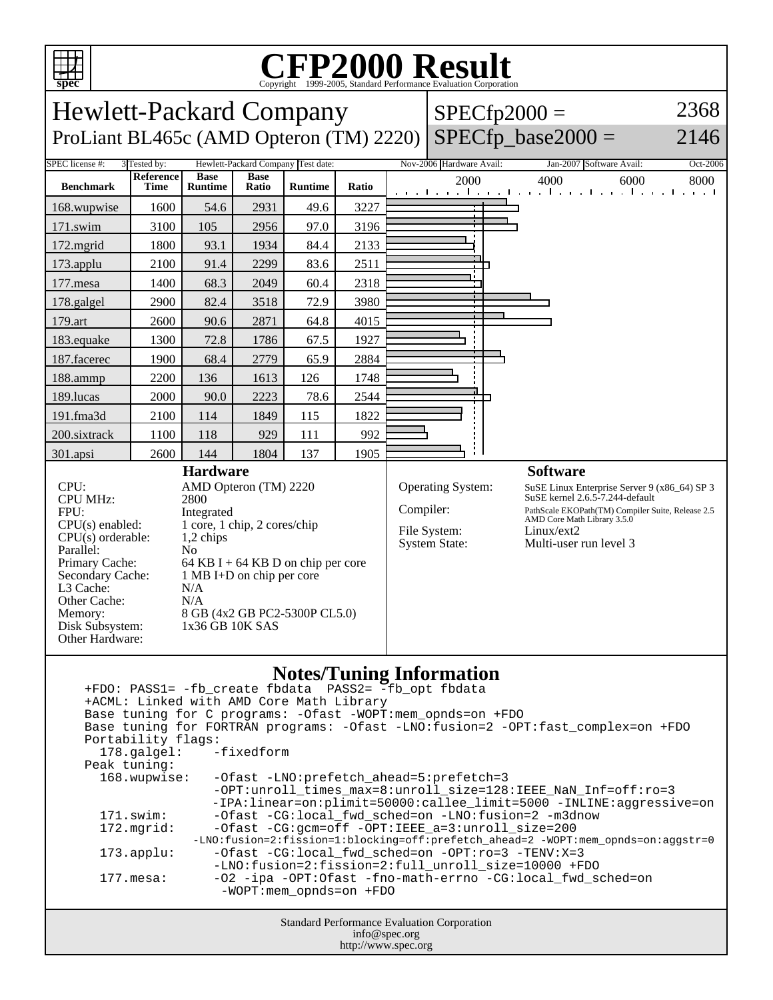

## C<sub>opyright</sub> ©1999-2005, Standard Performance Evaluation Corporation

| spec                                                                                                                                                                                                                                                                                                                                                                                                                                                                                                                                                                                                                                                                                                                                                                                                                                                                                                                                                                                                                                      |                   |                               |                      |                |       |  | Copyright ©1999-2005, Standard Performance Evaluation Corporation                                                                                                                                                                                                                     |                                                                 |      |  |  |  |
|-------------------------------------------------------------------------------------------------------------------------------------------------------------------------------------------------------------------------------------------------------------------------------------------------------------------------------------------------------------------------------------------------------------------------------------------------------------------------------------------------------------------------------------------------------------------------------------------------------------------------------------------------------------------------------------------------------------------------------------------------------------------------------------------------------------------------------------------------------------------------------------------------------------------------------------------------------------------------------------------------------------------------------------------|-------------------|-------------------------------|----------------------|----------------|-------|--|---------------------------------------------------------------------------------------------------------------------------------------------------------------------------------------------------------------------------------------------------------------------------------------|-----------------------------------------------------------------|------|--|--|--|
| 2368<br>Hewlett-Packard Company<br>$SPECfp2000 =$                                                                                                                                                                                                                                                                                                                                                                                                                                                                                                                                                                                                                                                                                                                                                                                                                                                                                                                                                                                         |                   |                               |                      |                |       |  |                                                                                                                                                                                                                                                                                       |                                                                 |      |  |  |  |
| ProLiant BL465c (AMD Opteron (TM) 2220)                                                                                                                                                                                                                                                                                                                                                                                                                                                                                                                                                                                                                                                                                                                                                                                                                                                                                                                                                                                                   |                   |                               |                      |                |       |  | $SPECfp$ base2000 =                                                                                                                                                                                                                                                                   | 2146                                                            |      |  |  |  |
| Hewlett-Packard Company Test date:<br>SPEC license #:<br>3 Tested by:<br>Nov-2006 Hardware Avail:<br>Jan-2007 Software Avail:<br>Oct-2006                                                                                                                                                                                                                                                                                                                                                                                                                                                                                                                                                                                                                                                                                                                                                                                                                                                                                                 |                   |                               |                      |                |       |  |                                                                                                                                                                                                                                                                                       |                                                                 |      |  |  |  |
| <b>Benchmark</b>                                                                                                                                                                                                                                                                                                                                                                                                                                                                                                                                                                                                                                                                                                                                                                                                                                                                                                                                                                                                                          | Reference<br>Time | <b>Base</b><br><b>Runtime</b> | <b>Base</b><br>Ratio | <b>Runtime</b> | Ratio |  | 2000                                                                                                                                                                                                                                                                                  | 4000<br>6000<br>المتوجا وتوجا وتوجا وتوجا وتوجا وتوجا وتوجا وتو | 8000 |  |  |  |
| 168.wupwise                                                                                                                                                                                                                                                                                                                                                                                                                                                                                                                                                                                                                                                                                                                                                                                                                                                                                                                                                                                                                               | 1600              | 54.6                          | 2931                 | 49.6           | 3227  |  |                                                                                                                                                                                                                                                                                       |                                                                 |      |  |  |  |
| 171.swim                                                                                                                                                                                                                                                                                                                                                                                                                                                                                                                                                                                                                                                                                                                                                                                                                                                                                                                                                                                                                                  | 3100              | 105                           | 2956                 | 97.0           | 3196  |  |                                                                                                                                                                                                                                                                                       |                                                                 |      |  |  |  |
| 172.mgrid                                                                                                                                                                                                                                                                                                                                                                                                                                                                                                                                                                                                                                                                                                                                                                                                                                                                                                                                                                                                                                 | 1800              | 93.1                          | 1934                 | 84.4           | 2133  |  |                                                                                                                                                                                                                                                                                       |                                                                 |      |  |  |  |
| 173.applu                                                                                                                                                                                                                                                                                                                                                                                                                                                                                                                                                                                                                                                                                                                                                                                                                                                                                                                                                                                                                                 | 2100              | 91.4                          | 2299                 | 83.6           | 2511  |  |                                                                                                                                                                                                                                                                                       |                                                                 |      |  |  |  |
| 177.mesa                                                                                                                                                                                                                                                                                                                                                                                                                                                                                                                                                                                                                                                                                                                                                                                                                                                                                                                                                                                                                                  | 1400              | 68.3                          | 2049                 | 60.4           | 2318  |  |                                                                                                                                                                                                                                                                                       |                                                                 |      |  |  |  |
| 178.galgel                                                                                                                                                                                                                                                                                                                                                                                                                                                                                                                                                                                                                                                                                                                                                                                                                                                                                                                                                                                                                                | 2900              | 82.4                          | 3518                 | 72.9           | 3980  |  |                                                                                                                                                                                                                                                                                       |                                                                 |      |  |  |  |
| 179.art                                                                                                                                                                                                                                                                                                                                                                                                                                                                                                                                                                                                                                                                                                                                                                                                                                                                                                                                                                                                                                   | 2600              | 90.6                          | 2871                 | 64.8           | 4015  |  |                                                                                                                                                                                                                                                                                       |                                                                 |      |  |  |  |
| 183.equake                                                                                                                                                                                                                                                                                                                                                                                                                                                                                                                                                                                                                                                                                                                                                                                                                                                                                                                                                                                                                                | 1300              | 72.8                          | 1786                 | 67.5           | 1927  |  |                                                                                                                                                                                                                                                                                       |                                                                 |      |  |  |  |
| 187.facerec                                                                                                                                                                                                                                                                                                                                                                                                                                                                                                                                                                                                                                                                                                                                                                                                                                                                                                                                                                                                                               | 1900              | 68.4                          | 2779                 | 65.9           | 2884  |  |                                                                                                                                                                                                                                                                                       |                                                                 |      |  |  |  |
| 188.ammp                                                                                                                                                                                                                                                                                                                                                                                                                                                                                                                                                                                                                                                                                                                                                                                                                                                                                                                                                                                                                                  | 2200              | 136                           | 1613                 | 126            | 1748  |  |                                                                                                                                                                                                                                                                                       |                                                                 |      |  |  |  |
| 189.lucas                                                                                                                                                                                                                                                                                                                                                                                                                                                                                                                                                                                                                                                                                                                                                                                                                                                                                                                                                                                                                                 | 2000              | 90.0                          | 2223                 | 78.6           | 2544  |  |                                                                                                                                                                                                                                                                                       |                                                                 |      |  |  |  |
| 191.fma3d                                                                                                                                                                                                                                                                                                                                                                                                                                                                                                                                                                                                                                                                                                                                                                                                                                                                                                                                                                                                                                 | 2100              | 114                           | 1849                 | 115            | 1822  |  |                                                                                                                                                                                                                                                                                       |                                                                 |      |  |  |  |
| 200.sixtrack                                                                                                                                                                                                                                                                                                                                                                                                                                                                                                                                                                                                                                                                                                                                                                                                                                                                                                                                                                                                                              | 1100              | 118                           | 929                  | 111            | 992   |  |                                                                                                                                                                                                                                                                                       |                                                                 |      |  |  |  |
| 301.apsi                                                                                                                                                                                                                                                                                                                                                                                                                                                                                                                                                                                                                                                                                                                                                                                                                                                                                                                                                                                                                                  | 2600              | 144                           | 1804                 | 137            | 1905  |  |                                                                                                                                                                                                                                                                                       |                                                                 |      |  |  |  |
| CPU:<br>AMD Opteron (TM) 2220<br>CPU MHz:<br>2800<br>FPU:<br>Integrated<br>1 core, 1 chip, 2 cores/chip<br>$CPU(s)$ enabled:<br>$CPU(s)$ orderable:<br>1,2 chips<br>Parallel:<br>N <sub>0</sub><br>Primary Cache:<br>64 KB I + 64 KB D on chip per core<br>Secondary Cache:<br>1 MB I+D on chip per core<br>L3 Cache:<br>N/A<br>Other Cache:<br>N/A<br>8 GB (4x2 GB PC2-5300P CL5.0)<br>Memory:<br>1x36 GB 10K SAS<br>Disk Subsystem:<br>Other Hardware:                                                                                                                                                                                                                                                                                                                                                                                                                                                                                                                                                                                  |                   |                               |                      |                |       |  | Operating System:<br>SuSE Linux Enterprise Server 9 (x86_64) SP 3<br>SuSE kernel 2.6.5-7.244-default<br>Compiler:<br>PathScale EKOPath(TM) Compiler Suite, Release 2.5<br>AMD Core Math Library 3.5.0<br>File System:<br>Linux/ext2<br><b>System State:</b><br>Multi-user run level 3 |                                                                 |      |  |  |  |
| <b>Notes/Tuning Information</b><br>+FDO: PASS1= -fb_create fbdata PASS2= -fb_opt fbdata<br>+ACML: Linked with AMD Core Math Library<br>Base tuning for C programs: - Ofast - WOPT: mem_opnds=on + FDO<br>Base tuning for FORTRAN programs: - Ofast -LNO: fusion=2 -OPT: fast_complex=on +FDO<br>Portability flags:<br>-fixedform<br>178.galgel:<br>Peak tuning:<br>168.wupwise:<br>-Ofast -LNO: prefetch_ahead=5: prefetch=3<br>-OPT:unroll_times_max=8:unroll_size=128:IEEE_NaN_Inf=off:ro=3<br>-IPA:linear=on:plimit=50000:callee_limit=5000 -INLINE:aggressive=on<br>171.swim:<br>-Ofast -CG:local_fwd_sched=on -LNO:fusion=2 -m3dnow<br>172.mgrid:<br>-Ofast -CG:gcm=off -OPT:IEEE_a=3:unroll_size=200<br>-LNO:fusion=2:fission=1:blocking=off:prefetch_ahead=2 -WOPT:mem_opnds=on:aggstr=0<br>173.applu:<br>-Ofast -CG:local_fwd_sched=on -OPT:ro=3 -TENV:X=3<br>-LNO:fusion=2:fission=2:full_unroll_size=10000 +FDO<br>-02 -ipa -0PT:0fast -fno-math-errno -CG:local_fwd_sched=on<br>$177.\text{mesa}$ :<br>-WOPT:mem_opnds=on +FDO |                   |                               |                      |                |       |  |                                                                                                                                                                                                                                                                                       |                                                                 |      |  |  |  |
| Standard Performance Evaluation Corporation                                                                                                                                                                                                                                                                                                                                                                                                                                                                                                                                                                                                                                                                                                                                                                                                                                                                                                                                                                                               |                   |                               |                      |                |       |  |                                                                                                                                                                                                                                                                                       |                                                                 |      |  |  |  |

info@spec.org http://www.spec.org